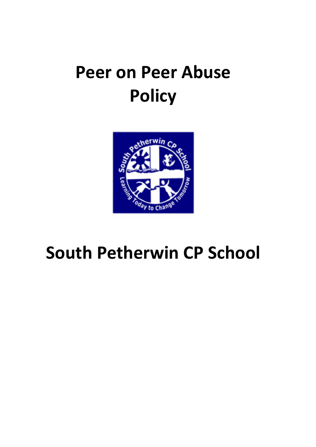# **Peer on Peer Abuse Policy**



# **South Petherwin CP School**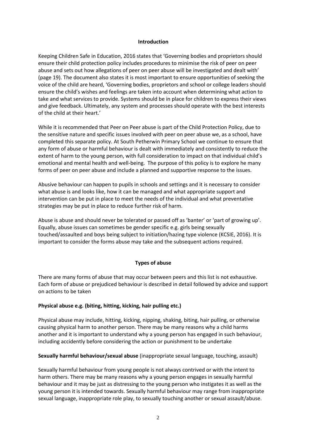#### **Introduction**

Keeping Children Safe in Education, 2016 states that 'Governing bodies and proprietors should ensure their child protection policy includes procedures to minimise the risk of peer on peer abuse and sets out how allegations of peer on peer abuse will be investigated and dealt with' (page 19). The document also states it is most important to ensure opportunities of seeking the voice of the child are heard, 'Governing bodies, proprietors and school or college leaders should ensure the child's wishes and feelings are taken into account when determining what action to take and what services to provide. Systems should be in place for children to express their views and give feedback. Ultimately, any system and processes should operate with the best interests of the child at their heart.'

While it is recommended that Peer on Peer abuse is part of the Child Protection Policy, due to the sensitive nature and specific issues involved with peer on peer abuse we, as a school, have completed this separate policy. At South Petherwin Primary School we continue to ensure that any form of abuse or harmful behaviour is dealt with immediately and consistently to reduce the extent of harm to the young person, with full consideration to impact on that individual child's emotional and mental health and well-being. The purpose of this policy is to explore he many forms of peer on peer abuse and include a planned and supportive response to the issues.

Abusive behaviour can happen to pupils in schools and settings and it is necessary to consider what abuse is and looks like, how it can be managed and what appropriate support and intervention can be put in place to meet the needs of the individual and what preventative strategies may be put in place to reduce further risk of harm.

Abuse is abuse and should never be tolerated or passed off as 'banter' or 'part of growing up'. Equally, abuse issues can sometimes be gender specific e.g. girls being sexually touched/assaulted and boys being subject to initiation/hazing type violence (KCSIE, 2016). It is important to consider the forms abuse may take and the subsequent actions required.

## **Types of abuse**

There are many forms of abuse that may occur between peers and this list is not exhaustive. Each form of abuse or prejudiced behaviour is described in detail followed by advice and support on actions to be taken

## **Physical abuse e.g. (biting, hitting, kicking, hair pulling etc.)**

Physical abuse may include, hitting, kicking, nipping, shaking, biting, hair pulling, or otherwise causing physical harm to another person. There may be many reasons why a child harms another and it is important to understand why a young person has engaged in such behaviour, including accidently before considering the action or punishment to be undertake

## **Sexually harmful behaviour/sexual abuse** (inappropriate sexual language, touching, assault)

Sexually harmful behaviour from young people is not always contrived or with the intent to harm others. There may be many reasons why a young person engages in sexually harmful behaviour and it may be just as distressing to the young person who instigates it as well as the young person it is intended towards. Sexually harmful behaviour may range from inappropriate sexual language, inappropriate role play, to sexually touching another or sexual assault/abuse.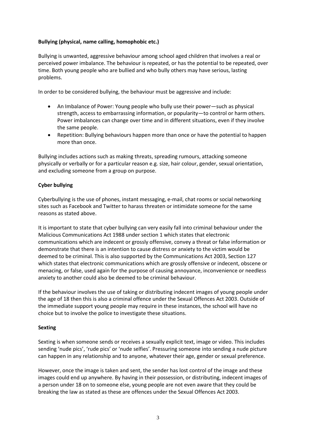# **Bullying (physical, name calling, homophobic etc.)**

Bullying is unwanted, aggressive behaviour among school aged children that involves a real or perceived power imbalance. The behaviour is repeated, or has the potential to be repeated, over time. Both young people who are bullied and who bully others may have serious, lasting problems.

In order to be considered bullying, the behaviour must be aggressive and include:

- An Imbalance of Power: Young people who bully use their power—such as physical strength, access to embarrassing information, or popularity—to control or harm others. Power imbalances can change over time and in different situations, even if they involve the same people.
- Repetition: Bullying behaviours happen more than once or have the potential to happen more than once.

Bullying includes actions such as making threats, spreading rumours, attacking someone physically or verbally or for a particular reason e.g. size, hair colour, gender, sexual orientation, and excluding someone from a group on purpose.

# **Cyber bullying**

Cyberbullying is the use of phones, instant messaging, e-mail, chat rooms or social networking sites such as Facebook and Twitter to harass threaten or intimidate someone for the same reasons as stated above.

It is important to state that cyber bullying can very easily fall into criminal behaviour under the Malicious Communications Act 1988 under section 1 which states that electronic communications which are indecent or grossly offensive, convey a threat or false information or demonstrate that there is an intention to cause distress or anxiety to the victim would be deemed to be criminal. This is also supported by the Communications Act 2003, Section 127 which states that electronic communications which are grossly offensive or indecent, obscene or menacing, or false, used again for the purpose of causing annoyance, inconvenience or needless anxiety to another could also be deemed to be criminal behaviour.

If the behaviour involves the use of taking or distributing indecent images of young people under the age of 18 then this is also a criminal offence under the Sexual Offences Act 2003. Outside of the immediate support young people may require in these instances, the school will have no choice but to involve the police to investigate these situations.

## **Sexting**

Sexting is when someone sends or receives a sexually explicit text, image or video. This includes sending 'nude pics', 'rude pics' or 'nude selfies'. Pressuring someone into sending a nude picture can happen in any relationship and to anyone, whatever their age, gender or sexual preference.

However, once the image is taken and sent, the sender has lost control of the image and these images could end up anywhere. By having in their possession, or distributing, indecent images of a person under 18 on to someone else, young people are not even aware that they could be breaking the law as stated as these are offences under the Sexual Offences Act 2003.